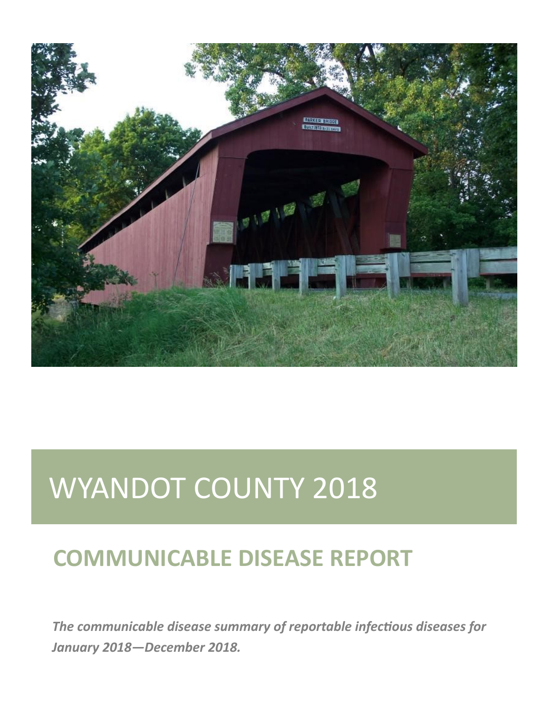

# WYANDOT COUNTY 2018

# **COMMUNICABLE DISEASE REPORT**

*The communicable disease summary of reportable infectious diseases for January 2018—December 2018.*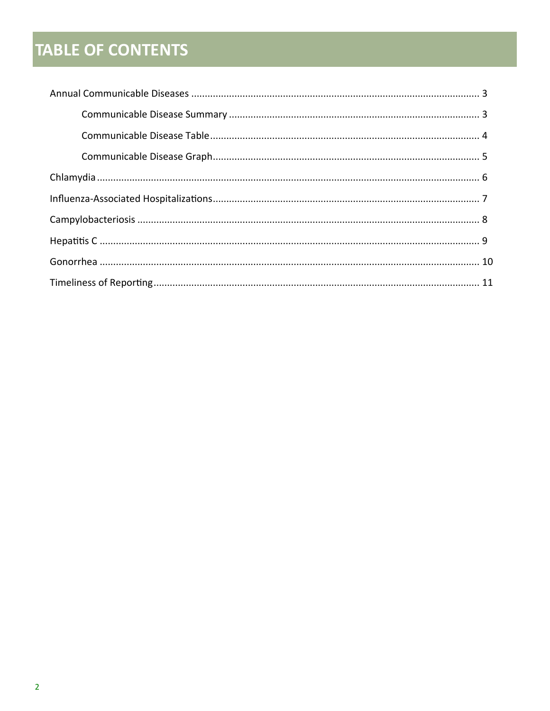# **TABLE OF CONTENTS**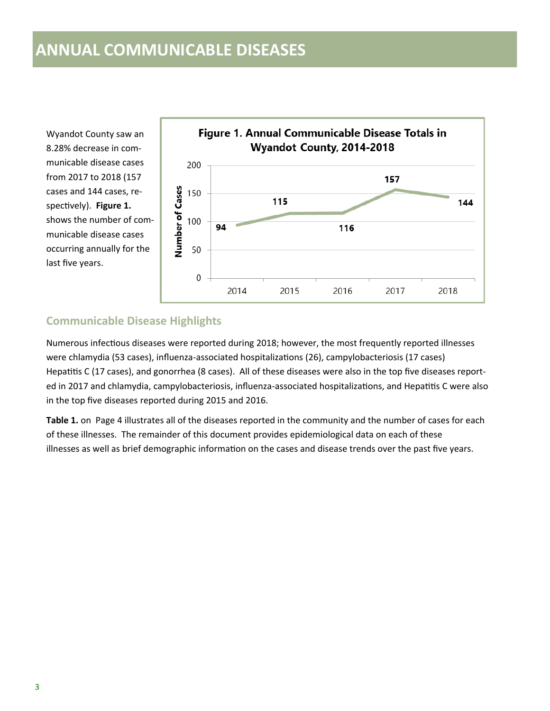### **ANNUAL COMMUNICABLE DISEASES**

Wyandot County saw an 8.28% decrease in communicable disease cases from 2017 to 2018 (157 cases and 144 cases, respectively). **Figure 1.**  shows the number of communicable disease cases occurring annually for the last five years.



#### **Communicable Disease Highlights**

Numerous infectious diseases were reported during 2018; however, the most frequently reported illnesses were chlamydia (53 cases), influenza-associated hospitalizations (26), campylobacteriosis (17 cases) Hepatitis C (17 cases), and gonorrhea (8 cases). All of these diseases were also in the top five diseases reported in 2017 and chlamydia, campylobacteriosis, influenza-associated hospitalizations, and Hepatitis C were also in the top five diseases reported during 2015 and 2016.

**Table 1.** on Page 4 illustrates all of the diseases reported in the community and the number of cases for each of these illnesses. The remainder of this document provides epidemiological data on each of these illnesses as well as brief demographic information on the cases and disease trends over the past five years.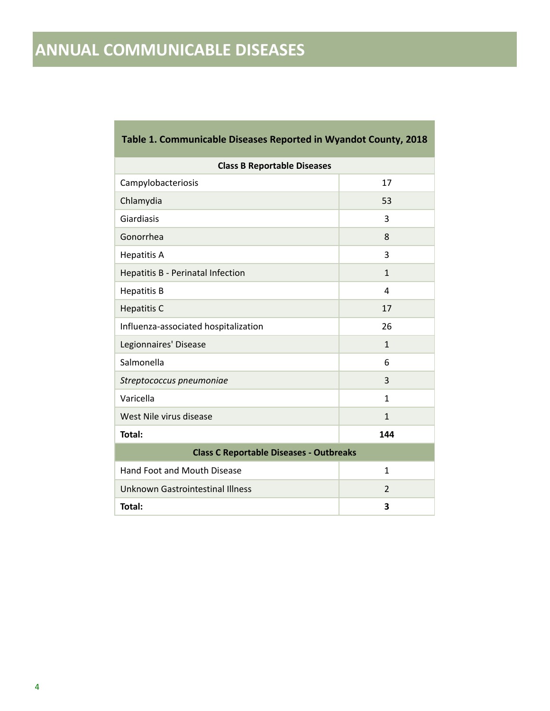# **ANNUAL COMMUNICABLE DISEASES**

| <b>Class B Reportable Diseases</b>             |                |  |  |
|------------------------------------------------|----------------|--|--|
| Campylobacteriosis                             | 17             |  |  |
| Chlamydia                                      | 53             |  |  |
| Giardiasis                                     | 3              |  |  |
| Gonorrhea                                      | 8              |  |  |
| <b>Hepatitis A</b>                             | 3              |  |  |
| Hepatitis B - Perinatal Infection              | $\mathbf{1}$   |  |  |
| <b>Hepatitis B</b>                             | 4              |  |  |
| <b>Hepatitis C</b>                             | 17             |  |  |
| Influenza-associated hospitalization           | 26             |  |  |
| Legionnaires' Disease                          | $\mathbf{1}$   |  |  |
| Salmonella                                     | 6              |  |  |
| Streptococcus pneumoniae                       | 3              |  |  |
| Varicella                                      | 1              |  |  |
| West Nile virus disease                        | $\mathbf{1}$   |  |  |
| Total:                                         | 144            |  |  |
| <b>Class C Reportable Diseases - Outbreaks</b> |                |  |  |
| <b>Hand Foot and Mouth Disease</b>             | $\mathbf{1}$   |  |  |
| <b>Unknown Gastrointestinal Illness</b>        | $\overline{2}$ |  |  |
| Total:                                         | 3              |  |  |

#### **Table 1. Communicable Diseases Reported in Wyandot County, 2018**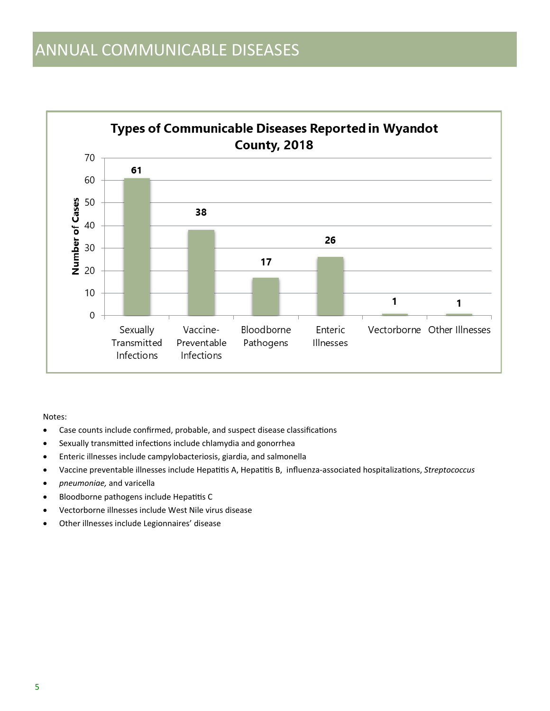

#### Notes:

- Case counts include confirmed, probable, and suspect disease classifications
- Sexually transmitted infections include chlamydia and gonorrhea
- Enteric illnesses include campylobacteriosis, giardia, and salmonella
- Vaccine preventable illnesses include Hepatitis A, Hepatitis B, influenza-associated hospitalizations, *Streptococcus*
- *pneumoniae,* and varicella
- Bloodborne pathogens include Hepatitis C
- Vectorborne illnesses include West Nile virus disease
- Other illnesses include Legionnaires' disease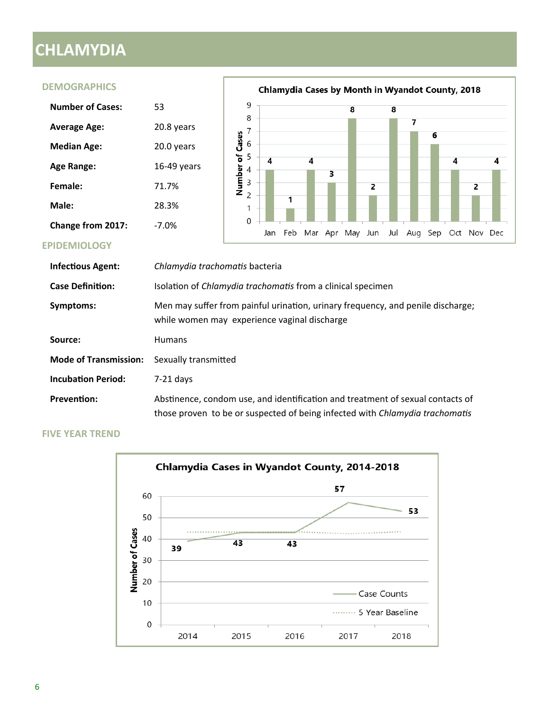## **CHLAMYDIA**

#### **DEMOGRAPHICS** Chlamydia Cases by Month in Wyandot County, 2018 9 **Number of Cases:** 53 8 8 8  $\overline{\mathbf{z}}$ **Average Age:** 20.8 years Number of Cases<br> $\sim$   $\sim$   $\sim$   $\sim$   $\sim$   $\sim$   $\sim$ **Median Age:** 20.0 years  $\overline{\mathbf{4}}$  $\overline{\mathbf{4}}$ Age Range: 16-49 years 3 **Female:** 71.7%  $\overline{2}$  $\overline{c}$ **Male:** 28.3%  $\mathbf{1}$  $\mathbf 0$ **Change from 2017:** -7.0% Jan Feb Mar Apr May Jun Jul Aug Sep Oct Nov Dec **EPIDEMIOLOGY**

6

4

4

| <b>Infectious Agent:</b>     | Chlamydia trachomatis bacteria                                                                                                                                 |
|------------------------------|----------------------------------------------------------------------------------------------------------------------------------------------------------------|
| <b>Case Definition:</b>      | Isolation of <i>Chlamydia trachomatis</i> from a clinical specimen                                                                                             |
| Symptoms:                    | Men may suffer from painful urination, urinary frequency, and penile discharge;<br>while women may experience vaginal discharge                                |
| Source:                      | <b>Humans</b>                                                                                                                                                  |
| <b>Mode of Transmission:</b> | Sexually transmitted                                                                                                                                           |
| <b>Incubation Period:</b>    | $7-21$ days                                                                                                                                                    |
| <b>Prevention:</b>           | Abstinence, condom use, and identification and treatment of sexual contacts of<br>those proven to be or suspected of being infected with Chlamydia trachomatis |

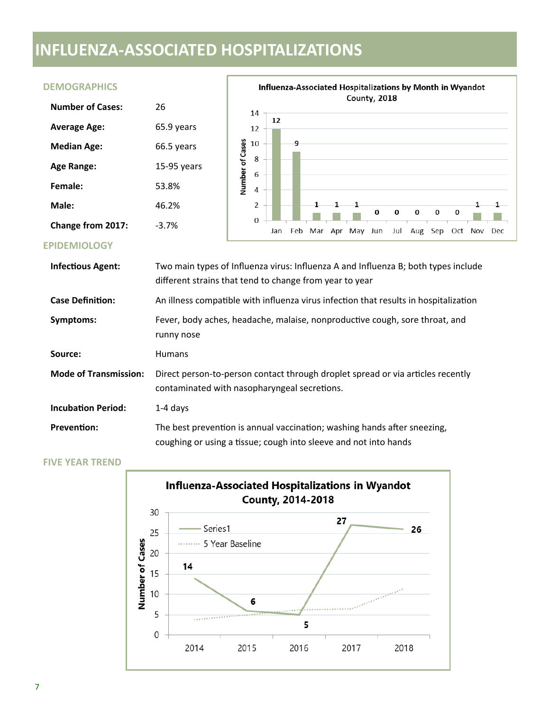# **INFLUENZA-ASSOCIATED HOSPITALIZATIONS**

#### **DEMOGRAPHICS**

| <b>Number of Cases:</b> | 26            |
|-------------------------|---------------|
| <b>Average Age:</b>     | 65.9 years    |
| <b>Median Age:</b>      | 66.5 years    |
| <b>Age Range:</b>       | $15-95$ years |
| Female:                 | 53.8%         |
| Male:                   | 46.2%         |
| Change from 2017:       | -3.7%         |



 $\mathbf 0$ 

 $\pmb{0}$ 

 $\pmb{0}$ 

 $\mathbf 0$ 

Jul Aug Sep Oct Nov Dec

0

1

1

#### **EPIDEMIOLOGY**

| <b>Infectious Agent:</b>     | Two main types of Influenza virus: Influenza A and Influenza B; both types include<br>different strains that tend to change from year to year |
|------------------------------|-----------------------------------------------------------------------------------------------------------------------------------------------|
| <b>Case Definition:</b>      | An illness compatible with influenza virus infection that results in hospitalization                                                          |
| Symptoms:                    | Fever, body aches, headache, malaise, nonproductive cough, sore throat, and<br>runny nose                                                     |
| Source:                      | <b>Humans</b>                                                                                                                                 |
| <b>Mode of Transmission:</b> | Direct person-to-person contact through droplet spread or via articles recently<br>contaminated with nasopharyngeal secretions.               |
| <b>Incubation Period:</b>    | $1-4$ days                                                                                                                                    |
| <b>Prevention:</b>           | The best prevention is annual vaccination; washing hands after sneezing,<br>coughing or using a tissue; cough into sleeve and not into hands  |

 $\overline{2}$ 

 $\mathbf 0$ 

Jan

 $\mathbf{1}$ 

1

Feb Mar Apr May Jun

 $\mathbf 1$ 

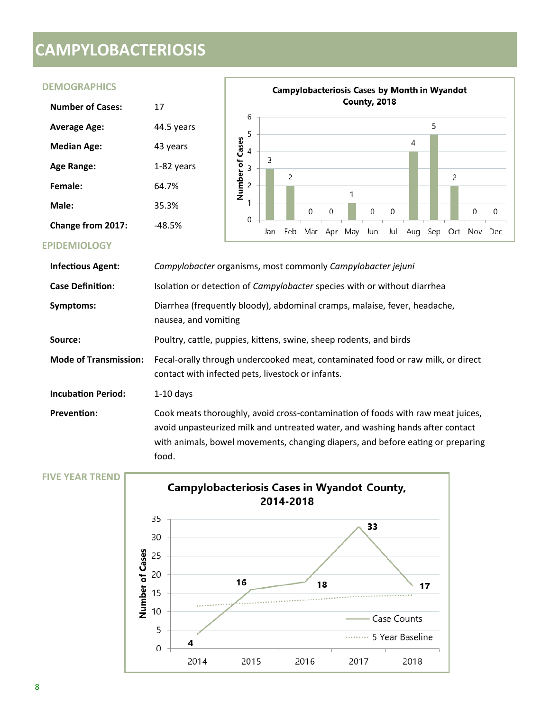# **CAMPYLOBACTERIOSIS**

#### **DEMOGRAPHICS**

| Number of Cases:         | 17         |  |  |
|--------------------------|------------|--|--|
| <b>Average Age:</b>      | 44.5 years |  |  |
| <b>Median Age:</b>       | 43 years   |  |  |
| <b>Age Range:</b>        | 1-82 years |  |  |
| Female:                  | 64.7%      |  |  |
| Male:                    | 35.3%      |  |  |
| <b>Change from 2017:</b> | -48.5%     |  |  |



#### **EPIDEMIOLOGY**

| <b>Infectious Agent:</b>     | Campylobacter organisms, most commonly Campylobacter jejuni                                                                                                                                                                                                  |
|------------------------------|--------------------------------------------------------------------------------------------------------------------------------------------------------------------------------------------------------------------------------------------------------------|
| <b>Case Definition:</b>      | Isolation or detection of Campylobacter species with or without diarrhea                                                                                                                                                                                     |
| Symptoms:                    | Diarrhea (frequently bloody), abdominal cramps, malaise, fever, headache,<br>nausea, and vomiting                                                                                                                                                            |
| Source:                      | Poultry, cattle, puppies, kittens, swine, sheep rodents, and birds                                                                                                                                                                                           |
| <b>Mode of Transmission:</b> | Fecal-orally through undercooked meat, contaminated food or raw milk, or direct<br>contact with infected pets, livestock or infants.                                                                                                                         |
| <b>Incubation Period:</b>    | $1-10$ days                                                                                                                                                                                                                                                  |
| <b>Prevention:</b>           | Cook meats thoroughly, avoid cross-contamination of foods with raw meat juices,<br>avoid unpasteurized milk and untreated water, and washing hands after contact<br>with animals, bowel movements, changing diapers, and before eating or preparing<br>food. |

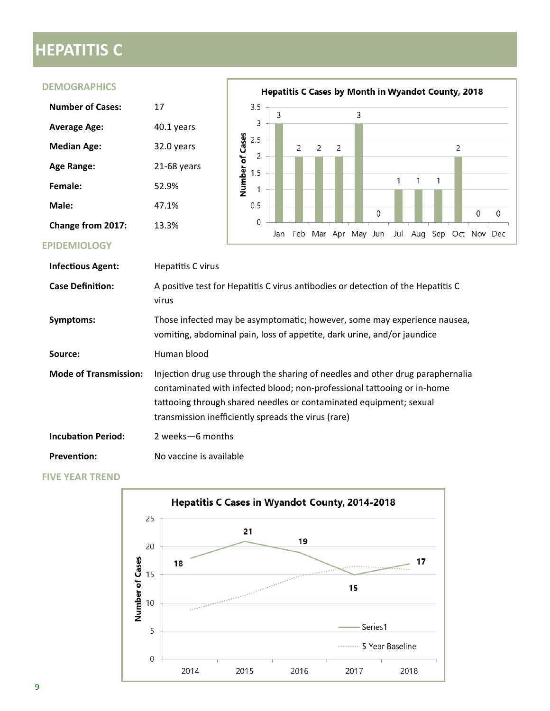# **HEPATITIS C**

#### **DEMOGRAPHICS**

| <b>Number of Cases:</b>  | 17          |
|--------------------------|-------------|
| <b>Average Age:</b>      | 40.1 years  |
| <b>Median Age:</b>       | 32.0 years  |
| Age Range:               | 21-68 years |
| Female:                  | 52.9%       |
| Male:                    | 47.1%       |
| <b>Change from 2017:</b> | 13.3%       |



#### **EPIDEMIOLOGY**

| <b>Infectious Agent:</b>     | Hepatitis C virus                                                                                                                                                                                                                                                                      |
|------------------------------|----------------------------------------------------------------------------------------------------------------------------------------------------------------------------------------------------------------------------------------------------------------------------------------|
| <b>Case Definition:</b>      | A positive test for Hepatitis C virus antibodies or detection of the Hepatitis C<br>virus                                                                                                                                                                                              |
| Symptoms:                    | Those infected may be asymptomatic; however, some may experience nausea,<br>vomiting, abdominal pain, loss of appetite, dark urine, and/or jaundice                                                                                                                                    |
| Source:                      | Human blood                                                                                                                                                                                                                                                                            |
| <b>Mode of Transmission:</b> | Injection drug use through the sharing of needles and other drug paraphernalia<br>contaminated with infected blood; non-professional tattooing or in-home<br>tattooing through shared needles or contaminated equipment; sexual<br>transmission inefficiently spreads the virus (rare) |
| <b>Incubation Period:</b>    | 2 weeks - 6 months                                                                                                                                                                                                                                                                     |
| <b>Prevention:</b>           | No vaccine is available                                                                                                                                                                                                                                                                |

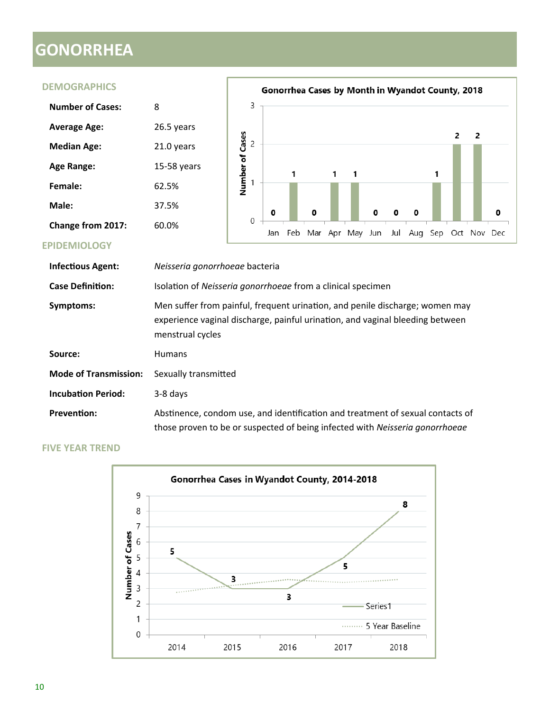# **GONORRHEA**

**DEMOGRAPHICS**

#### Gonorrhea Cases by Month in Wyandot County, 2018  $\overline{3}$ **Number of Cases:** 8 **Average Age:** 26.5 years Number of Cases  $\overline{2}$  $\overline{2}$  $\overline{c}$ **Median Age:** 21.0 years **Age Range:** 15-58 years  $\mathbf{1}$ 1  $\mathbf{1}$ 1  $\overline{1}$ **Female:** 62.5% **Male:** 37.5% 0 0 0 0 0  $\pmb{0}$  $\boldsymbol{0}$ **Change from 2017:** 60.0% Jan Feb Mar Apr May Jun Jul Aug Sep Oct Nov Dec

#### **EPIDEMIOLOGY**

| <b>Infectious Agent:</b>     | Neisseria gonorrhoeae bacteria                                                                                                                                                    |
|------------------------------|-----------------------------------------------------------------------------------------------------------------------------------------------------------------------------------|
| <b>Case Definition:</b>      | Isolation of Neisseria gonorrhoeae from a clinical specimen                                                                                                                       |
| Symptoms:                    | Men suffer from painful, frequent urination, and penile discharge; women may<br>experience vaginal discharge, painful urination, and vaginal bleeding between<br>menstrual cycles |
| Source:                      | <b>Humans</b>                                                                                                                                                                     |
| <b>Mode of Transmission:</b> | Sexually transmitted                                                                                                                                                              |
| <b>Incubation Period:</b>    | 3-8 days                                                                                                                                                                          |
| <b>Prevention:</b>           | Abstinence, condom use, and identification and treatment of sexual contacts of<br>those proven to be or suspected of being infected with Neisseria gonorrhoeae                    |

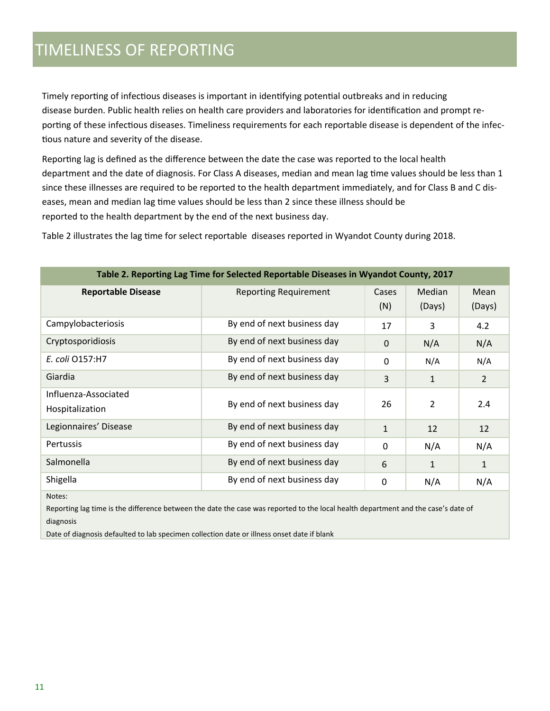## TIMELINESS OF REPORTING

Timely reporting of infectious diseases is important in identifying potential outbreaks and in reducing disease burden. Public health relies on health care providers and laboratories for identification and prompt reporting of these infectious diseases. Timeliness requirements for each reportable disease is dependent of the infectious nature and severity of the disease.

Reporting lag is defined as the difference between the date the case was reported to the local health department and the date of diagnosis. For Class A diseases, median and mean lag time values should be less than 1 since these illnesses are required to be reported to the health department immediately, and for Class B and C diseases, mean and median lag time values should be less than 2 since these illness should be reported to the health department by the end of the next business day.

Table 2 illustrates the lag time for select reportable diseases reported in Wyandot County during 2018.

| Table 2. Reporting Lag Time for Selected Reportable Diseases in Wyandot County, 2017 |                              |              |                         |                |
|--------------------------------------------------------------------------------------|------------------------------|--------------|-------------------------|----------------|
| <b>Reportable Disease</b>                                                            | <b>Reporting Requirement</b> | Cases<br>(N) | <b>Median</b><br>(Days) | Mean<br>(Days) |
| Campylobacteriosis                                                                   | By end of next business day  | 17           | 3                       | 4.2            |
| Cryptosporidiosis                                                                    | By end of next business day  | 0            | N/A                     | N/A            |
| E. coli 0157:H7                                                                      | By end of next business day  | 0            | N/A                     | N/A            |
| Giardia                                                                              | By end of next business day  | 3            | $\mathbf{1}$            | 2              |
| Influenza-Associated<br>Hospitalization                                              | By end of next business day  | 26           | $\overline{2}$          | 2.4            |
| Legionnaires' Disease                                                                | By end of next business day  | $\mathbf{1}$ | 12                      | 12             |
| Pertussis                                                                            | By end of next business day  | $\Omega$     | N/A                     | N/A            |
| Salmonella                                                                           | By end of next business day  | 6            | $\mathbf{1}$            | $\mathbf{1}$   |
| Shigella                                                                             | By end of next business day  | $\Omega$     | N/A                     | N/A            |
| Notes:                                                                               |                              |              |                         |                |

Reporting lag time is the difference between the date the case was reported to the local health department and the case's date of diagnosis

Date of diagnosis defaulted to lab specimen collection date or illness onset date if blank